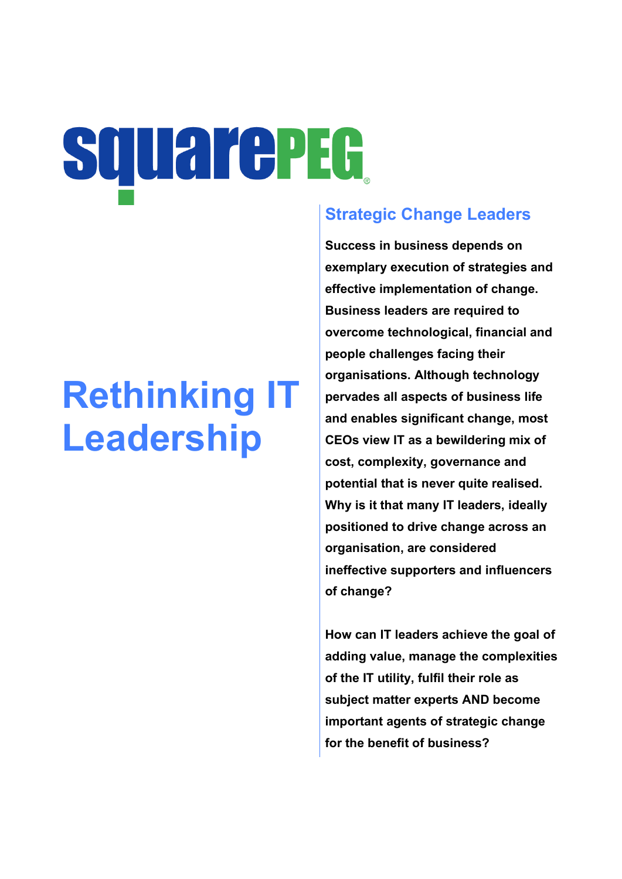# **SQUarePEG**

# **Rethinking IT Leadership**

# **Strategic Change Leaders**

**Success in business depends on exemplary execution of strategies and effective implementation of change. Business leaders are required to overcome technological, financial and people challenges facing their organisations. Although technology pervades all aspects of business life and enables significant change, most CEOs view IT as a bewildering mix of cost, complexity, governance and potential that is never quite realised. Why is it that many IT leaders, ideally positioned to drive change across an organisation, are considered ineffective supporters and influencers of change?**

**How can IT leaders achieve the goal of adding value, manage the complexities of the IT utility, fulfil their role as subject matter experts AND become important agents of strategic change for the benefit of business?**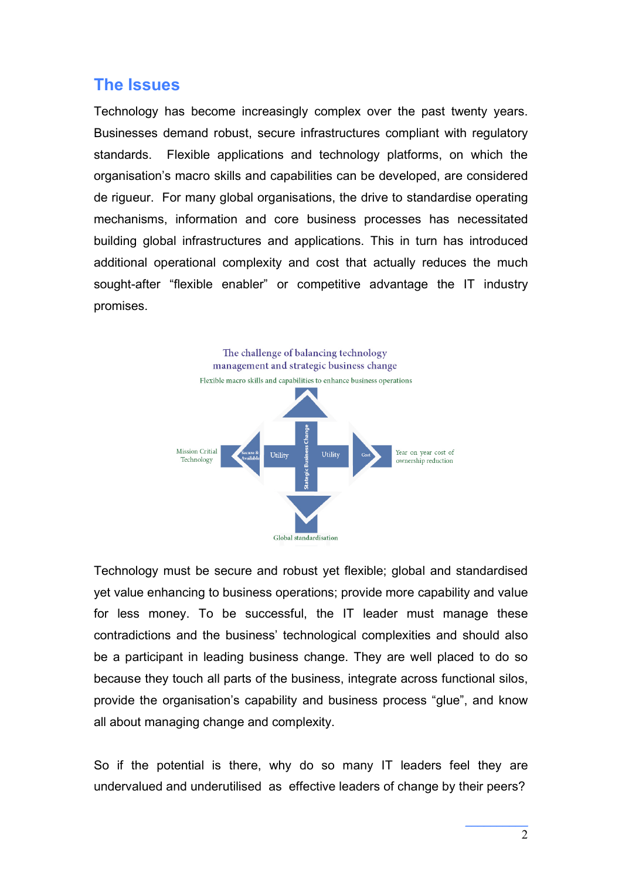#### **The Issues**

Technology has become increasingly complex over the past twenty years. Businesses demand robust, secure infrastructures compliant with regulatory standards. Flexible applications and technology platforms, on which the organisation's macro skills and capabilities can be developed, are considered de rigueur. For many global organisations, the drive to standardise operating mechanisms, information and core business processes has necessitated building global infrastructures and applications. This in turn has introduced additional operational complexity and cost that actually reduces the much sought-after "flexible enabler" or competitive advantage the IT industry promises.



Technology must be secure and robust yet flexible; global and standardised yet value enhancing to business operations; provide more capability and value for less money. To be successful, the IT leader must manage these contradictions and the business' technological complexities and should also be a participant in leading business change. They are well placed to do so because they touch all parts of the business, integrate across functional silos, provide the organisation's capability and business process "glue", and know all about managing change and complexity.

So if the potential is there, why do so many IT leaders feel they are undervalued and underutilised as effective leaders of change by their peers?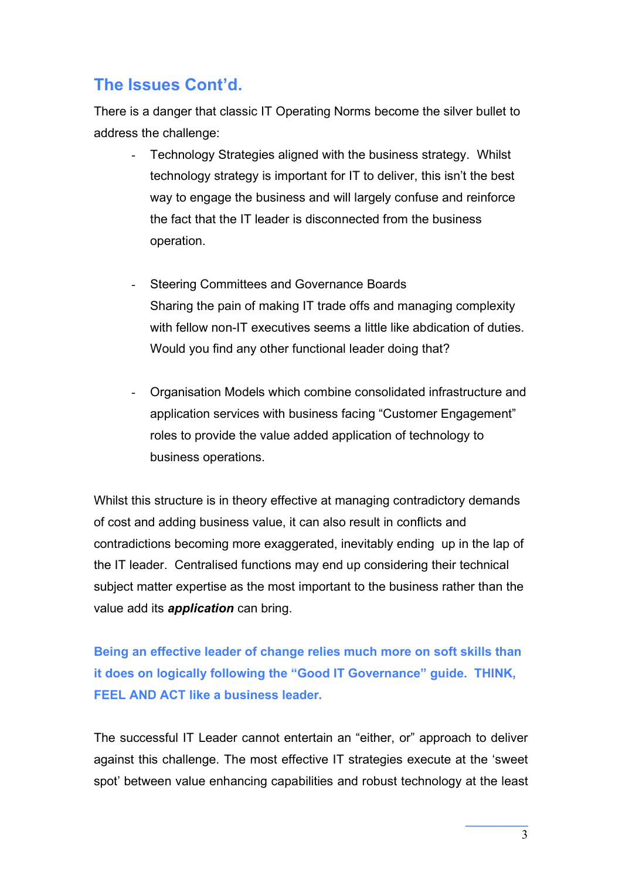## **The Issues Cont'd.**

There is a danger that classic IT Operating Norms become the silver bullet to address the challenge:

- Technology Strategies aligned with the business strategy. Whilst technology strategy is important for IT to deliver, this isn't the best way to engage the business and will largely confuse and reinforce the fact that the IT leader is disconnected from the business operation.
- Steering Committees and Governance Boards Sharing the pain of making IT trade offs and managing complexity with fellow non-IT executives seems a little like abdication of duties. Would you find any other functional leader doing that?
- Organisation Models which combine consolidated infrastructure and application services with business facing "Customer Engagement" roles to provide the value added application of technology to business operations.

Whilst this structure is in theory effective at managing contradictory demands of cost and adding business value, it can also result in conflicts and contradictions becoming more exaggerated, inevitably ending up in the lap of the IT leader. Centralised functions may end up considering their technical subject matter expertise as the most important to the business rather than the value add its *application* can bring.

**Being an effective leader of change relies much more on soft skills than it does on logically following the "Good IT Governance" guide. THINK, FEEL AND ACT like a business leader.**

The successful IT Leader cannot entertain an "either, or" approach to deliver against this challenge. The most effective IT strategies execute at the 'sweet spot' between value enhancing capabilities and robust technology at the least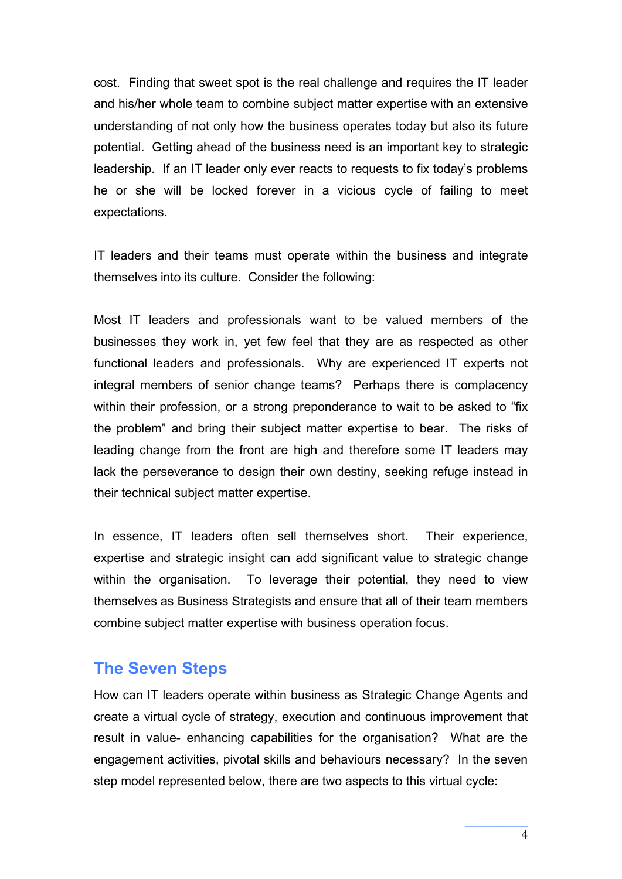cost. Finding that sweet spot is the real challenge and requires the IT leader and his/her whole team to combine subject matter expertise with an extensive understanding of not only how the business operates today but also its future potential. Getting ahead of the business need is an important key to strategic leadership. If an IT leader only ever reacts to requests to fix today's problems he or she will be locked forever in a vicious cycle of failing to meet expectations.

IT leaders and their teams must operate within the business and integrate themselves into its culture. Consider the following:

Most IT leaders and professionals want to be valued members of the businesses they work in, yet few feel that they are as respected as other functional leaders and professionals. Why are experienced IT experts not integral members of senior change teams? Perhaps there is complacency within their profession, or a strong preponderance to wait to be asked to "fix the problem" and bring their subject matter expertise to bear. The risks of leading change from the front are high and therefore some IT leaders may lack the perseverance to design their own destiny, seeking refuge instead in their technical subject matter expertise.

In essence, IT leaders often sell themselves short. Their experience, expertise and strategic insight can add significant value to strategic change within the organisation. To leverage their potential, they need to view themselves as Business Strategists and ensure that all of their team members combine subject matter expertise with business operation focus.

#### **The Seven Steps**

How can IT leaders operate within business as Strategic Change Agents and create a virtual cycle of strategy, execution and continuous improvement that result in value- enhancing capabilities for the organisation? What are the engagement activities, pivotal skills and behaviours necessary? In the seven step model represented below, there are two aspects to this virtual cycle: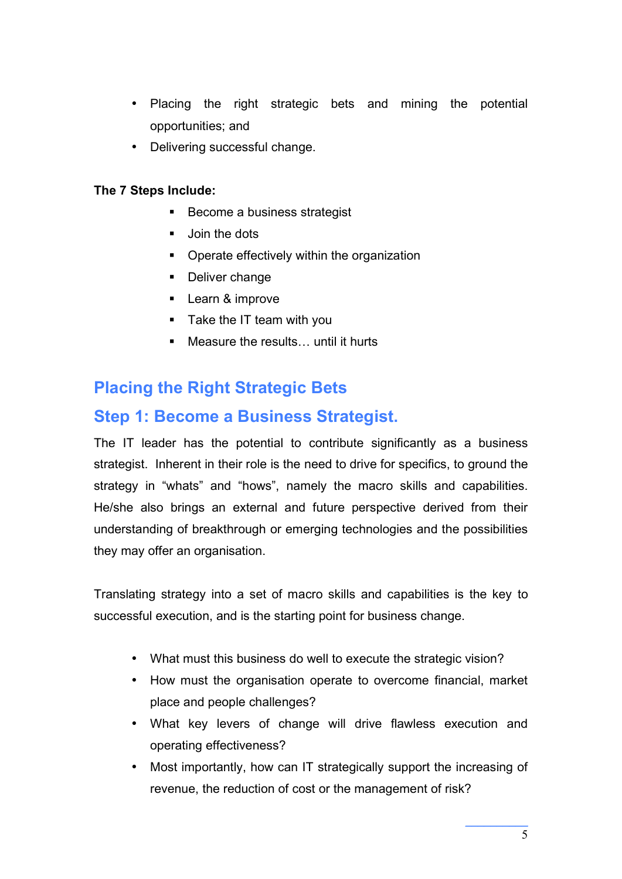- Placing the right strategic bets and mining the potential opportunities; and
- Delivering successful change.

#### **The 7 Steps Include:**

- Become a business strategist
- **Join the dots**
- **•** Operate effectively within the organization
- Deliver change
- **Learn & improve**
- Take the IT team with you
- Measure the results... until it hurts

# **Placing the Right Strategic Bets**

#### **Step 1: Become a Business Strategist.**

The IT leader has the potential to contribute significantly as a business strategist. Inherent in their role is the need to drive for specifics, to ground the strategy in "whats" and "hows", namely the macro skills and capabilities. He/she also brings an external and future perspective derived from their understanding of breakthrough or emerging technologies and the possibilities they may offer an organisation.

Translating strategy into a set of macro skills and capabilities is the key to successful execution, and is the starting point for business change.

- What must this business do well to execute the strategic vision?
- How must the organisation operate to overcome financial, market place and people challenges?
- What key levers of change will drive flawless execution and operating effectiveness?
- Most importantly, how can IT strategically support the increasing of revenue, the reduction of cost or the management of risk?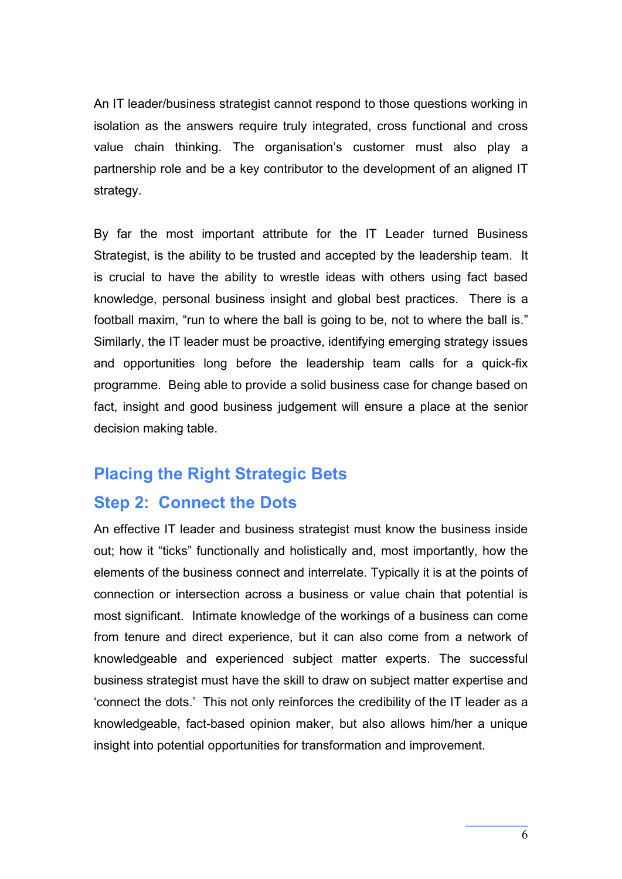An IT leader/business strategist cannot respond to those questions working in isolation as the answers require truly integrated, cross functional and cross value chain thinking. The organisation's customer must also play a partnership role and be a key contributor to the development of an aligned IT strategy.

By far the most important attribute for the IT Leader turned Business Strategist, is the ability to be trusted and accepted by the leadership team. It is crucial to have the ability to wrestle ideas with others using fact based knowledge, personal business insight and global best practices. There is a football maxim, "run to where the ball is going to be, not to where the ball is." Similarly, the IT leader must be proactive, identifying emerging strategy issues and opportunities long before the leadership team calls for a quick-fix programme. Being able to provide a solid business case for change based on fact, insight and good business judgement will ensure a place at the senior decision making table.

#### **Placing the Right Strategic Bets**

#### **Step 2: Connect the Dots**

An effective IT leader and business strategist must know the business inside out; how it "ticks" functionally and holistically and, most importantly, how the elements of the business connect and interrelate. Typically it is at the points of connection or intersection across a business or value chain that potential is most significant. Intimate knowledge of the workings of a business can come from tenure and direct experience, but it can also come from a network of knowledgeable and experienced subject matter experts. The successful business strategist must have the skill to draw on subject matter expertise and 'connect the dots.' This not only reinforces the credibility of the IT leader as a knowledgeable, fact-based opinion maker, but also allows him/her a unique insight into potential opportunities for transformation and improvement.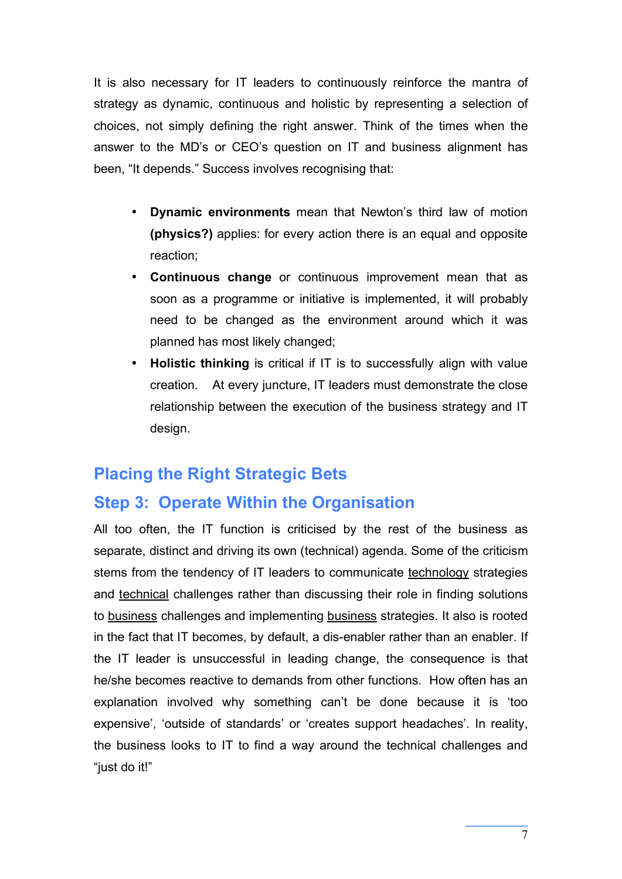It is also necessary for IT leaders to continuously reinforce the mantra of strategy as dynamic, continuous and holistic by representing a selection of choices, not simply defining the right answer. Think of the times when the answer to the MD's or CEO's question on IT and business alignment has been, "It depends." Success involves recognising that:

- **Dynamic environments** mean that Newton's third law of motion **(physics?)** applies: for every action there is an equal and opposite reaction;
- **Continuous change** or continuous improvement mean that as soon as a programme or initiative is implemented, it will probably need to be changed as the environment around which it was planned has most likely changed;
- **Holistic thinking** is critical if IT is to successfully align with value creation. At every juncture, IT leaders must demonstrate the close relationship between the execution of the business strategy and IT design.

#### **Placing the Right Strategic Bets**

#### **Step 3: Operate Within the Organisation**

All too often, the IT function is criticised by the rest of the business as separate, distinct and driving its own (technical) agenda. Some of the criticism stems from the tendency of IT leaders to communicate technology strategies and technical challenges rather than discussing their role in finding solutions to business challenges and implementing business strategies. It also is rooted in the fact that IT becomes, by default, a dis-enabler rather than an enabler. If the IT leader is unsuccessful in leading change, the consequence is that he/she becomes reactive to demands from other functions. How often has an explanation involved why something can't be done because it is 'too expensive', 'outside of standards' or 'creates support headaches'. In reality, the business looks to IT to find a way around the technical challenges and "just do it!"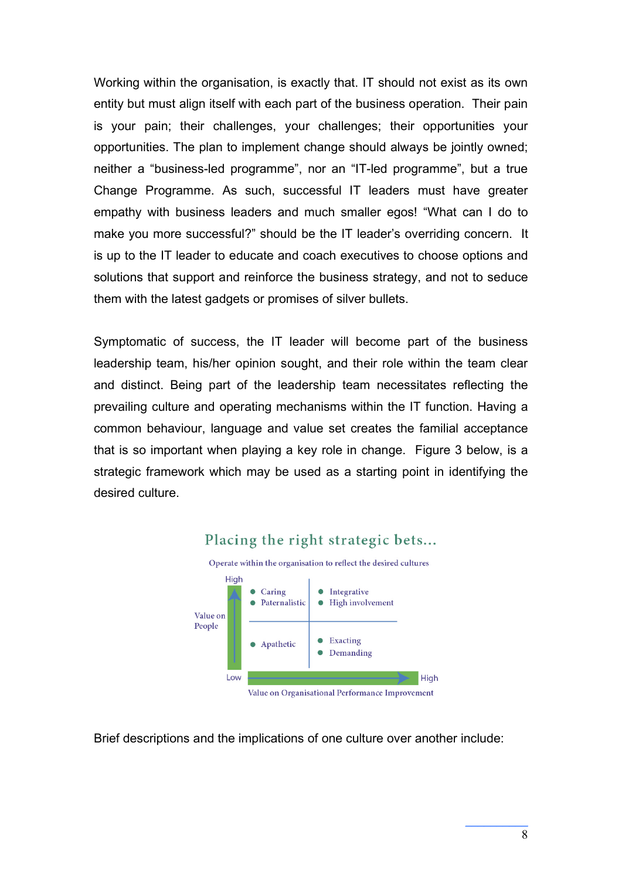Working within the organisation, is exactly that. IT should not exist as its own entity but must align itself with each part of the business operation. Their pain is your pain; their challenges, your challenges; their opportunities your opportunities. The plan to implement change should always be jointly owned; neither a "business-led programme", nor an "IT-led programme", but a true Change Programme. As such, successful IT leaders must have greater empathy with business leaders and much smaller egos! "What can I do to make you more successful?" should be the IT leader's overriding concern. It is up to the IT leader to educate and coach executives to choose options and solutions that support and reinforce the business strategy, and not to seduce them with the latest gadgets or promises of silver bullets.

Symptomatic of success, the IT leader will become part of the business leadership team, his/her opinion sought, and their role within the team clear and distinct. Being part of the leadership team necessitates reflecting the prevailing culture and operating mechanisms within the IT function. Having a common behaviour, language and value set creates the familial acceptance that is so important when playing a key role in change. Figure 3 below, is a strategic framework which may be used as a starting point in identifying the desired culture.



#### Placing the right strategic bets...

Brief descriptions and the implications of one culture over another include: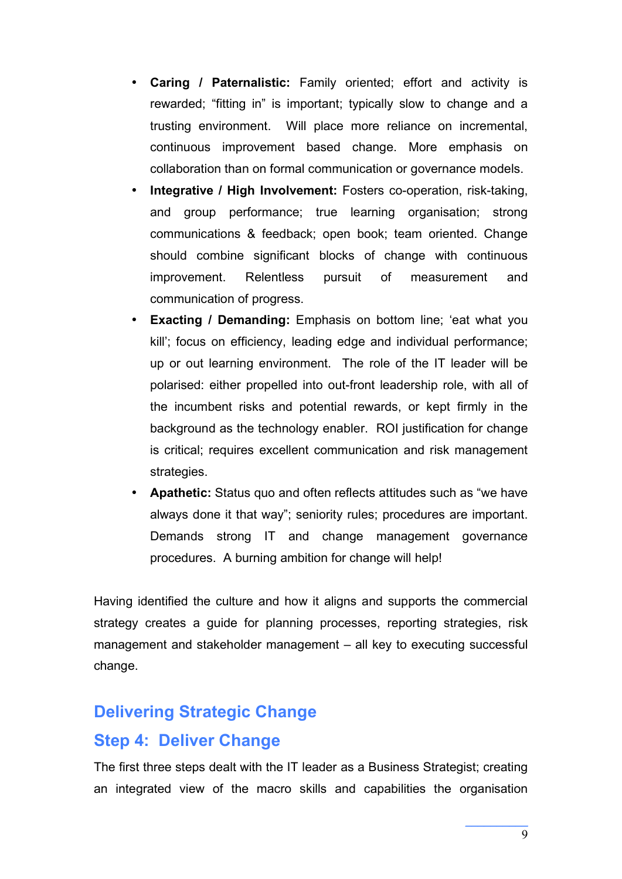- **Caring / Paternalistic:** Family oriented; effort and activity is rewarded; "fitting in" is important; typically slow to change and a trusting environment. Will place more reliance on incremental, continuous improvement based change. More emphasis on collaboration than on formal communication or governance models.
- **Integrative / High Involvement:** Fosters co-operation, risk-taking, and group performance; true learning organisation; strong communications & feedback; open book; team oriented. Change should combine significant blocks of change with continuous improvement. Relentless pursuit of measurement and communication of progress.
- **Exacting / Demanding:** Emphasis on bottom line; 'eat what you kill'; focus on efficiency, leading edge and individual performance; up or out learning environment. The role of the IT leader will be polarised: either propelled into out-front leadership role, with all of the incumbent risks and potential rewards, or kept firmly in the background as the technology enabler. ROI justification for change is critical; requires excellent communication and risk management strategies.
- **Apathetic:** Status quo and often reflects attitudes such as "we have always done it that way"; seniority rules; procedures are important. Demands strong IT and change management governance procedures. A burning ambition for change will help!

Having identified the culture and how it aligns and supports the commercial strategy creates a guide for planning processes, reporting strategies, risk management and stakeholder management – all key to executing successful change.

#### **Delivering Strategic Change**

#### **Step 4: Deliver Change**

The first three steps dealt with the IT leader as a Business Strategist; creating an integrated view of the macro skills and capabilities the organisation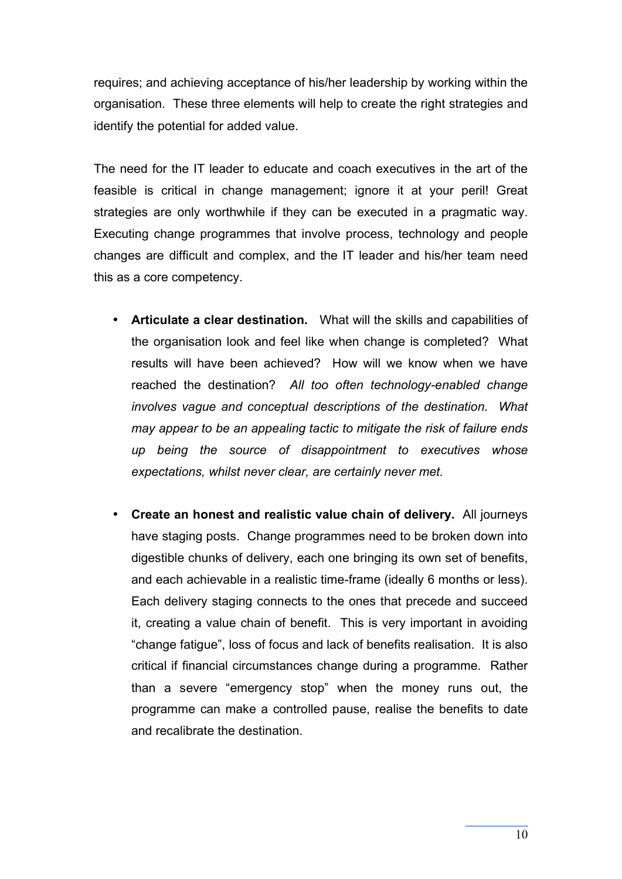requires; and achieving acceptance of his/her leadership by working within the organisation. These three elements will help to create the right strategies and identify the potential for added value.

The need for the IT leader to educate and coach executives in the art of the feasible is critical in change management; ignore it at your peril! Great strategies are only worthwhile if they can be executed in a pragmatic way. Executing change programmes that involve process, technology and people changes are difficult and complex, and the IT leader and his/her team need this as a core competency.

- **Articulate a clear destination.** What will the skills and capabilities of the organisation look and feel like when change is completed? What results will have been achieved? How will we know when we have reached the destination? *All too often technology-enabled change involves vague and conceptual descriptions of the destination. What may appear to be an appealing tactic to mitigate the risk of failure ends up being the source of disappointment to executives whose expectations, whilst never clear, are certainly never met.*
- **Create an honest and realistic value chain of delivery.** All journeys have staging posts. Change programmes need to be broken down into digestible chunks of delivery, each one bringing its own set of benefits, and each achievable in a realistic time-frame (ideally 6 months or less). Each delivery staging connects to the ones that precede and succeed it, creating a value chain of benefit. This is very important in avoiding "change fatigue", loss of focus and lack of benefits realisation. It is also critical if financial circumstances change during a programme. Rather than a severe "emergency stop" when the money runs out, the programme can make a controlled pause, realise the benefits to date and recalibrate the destination.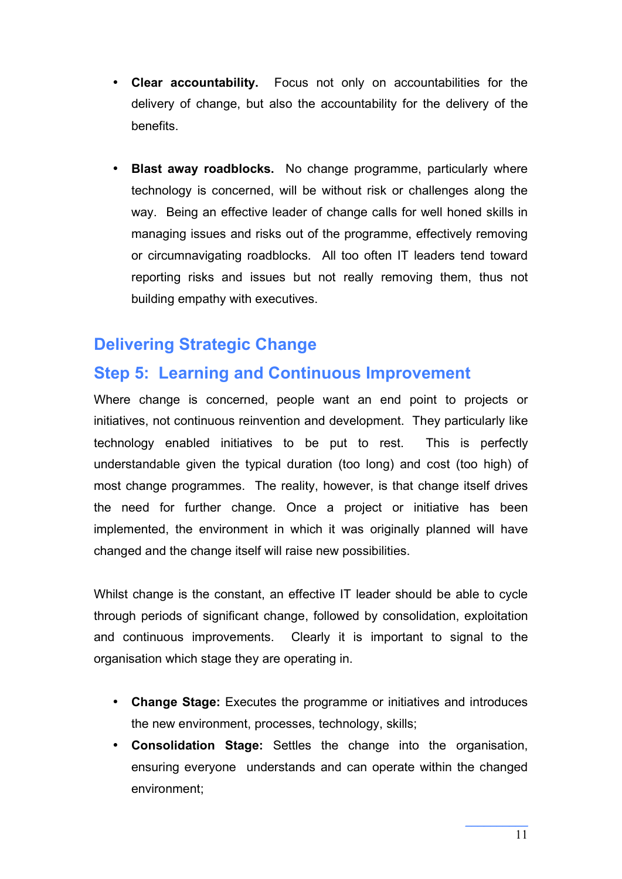- **Clear accountability.** Focus not only on accountabilities for the delivery of change, but also the accountability for the delivery of the benefits.
- **Blast away roadblocks.** No change programme, particularly where technology is concerned, will be without risk or challenges along the way. Being an effective leader of change calls for well honed skills in managing issues and risks out of the programme, effectively removing or circumnavigating roadblocks. All too often IT leaders tend toward reporting risks and issues but not really removing them, thus not building empathy with executives.

# **Delivering Strategic Change**

#### **Step 5: Learning and Continuous Improvement**

Where change is concerned, people want an end point to projects or initiatives, not continuous reinvention and development. They particularly like technology enabled initiatives to be put to rest. This is perfectly understandable given the typical duration (too long) and cost (too high) of most change programmes. The reality, however, is that change itself drives the need for further change. Once a project or initiative has been implemented, the environment in which it was originally planned will have changed and the change itself will raise new possibilities.

Whilst change is the constant, an effective IT leader should be able to cycle through periods of significant change, followed by consolidation, exploitation and continuous improvements. Clearly it is important to signal to the organisation which stage they are operating in.

- **Change Stage:** Executes the programme or initiatives and introduces the new environment, processes, technology, skills;
- **Consolidation Stage:** Settles the change into the organisation, ensuring everyone understands and can operate within the changed environment;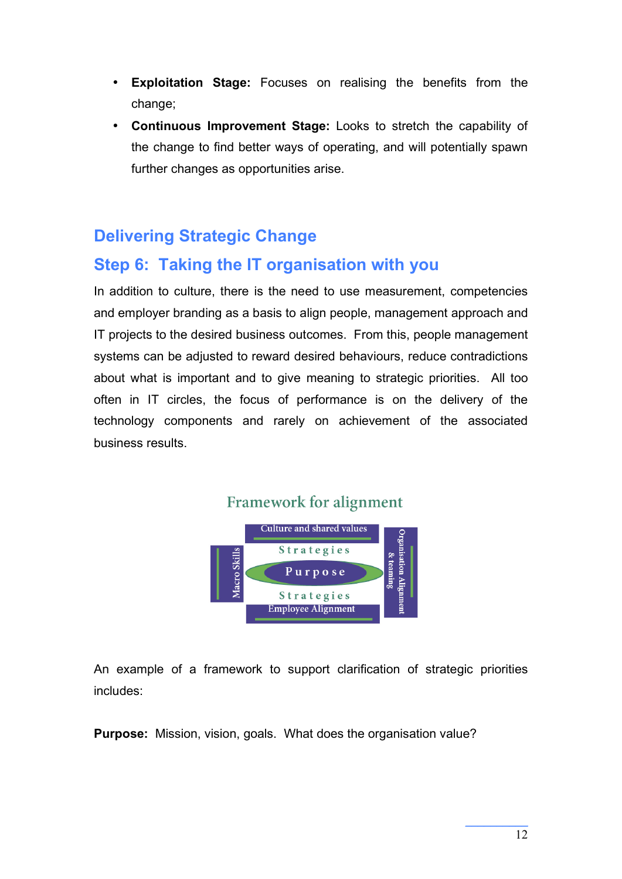- **Exploitation Stage:** Focuses on realising the benefits from the change;
- **Continuous Improvement Stage:** Looks to stretch the capability of the change to find better ways of operating, and will potentially spawn further changes as opportunities arise.

# **Delivering Strategic Change**

#### **Step 6: Taking the IT organisation with you**

In addition to culture, there is the need to use measurement, competencies and employer branding as a basis to align people, management approach and IT projects to the desired business outcomes. From this, people management systems can be adjusted to reward desired behaviours, reduce contradictions about what is important and to give meaning to strategic priorities. All too often in IT circles, the focus of performance is on the delivery of the technology components and rarely on achievement of the associated business results.



An example of a framework to support clarification of strategic priorities includes:

**Purpose:** Mission, vision, goals. What does the organisation value?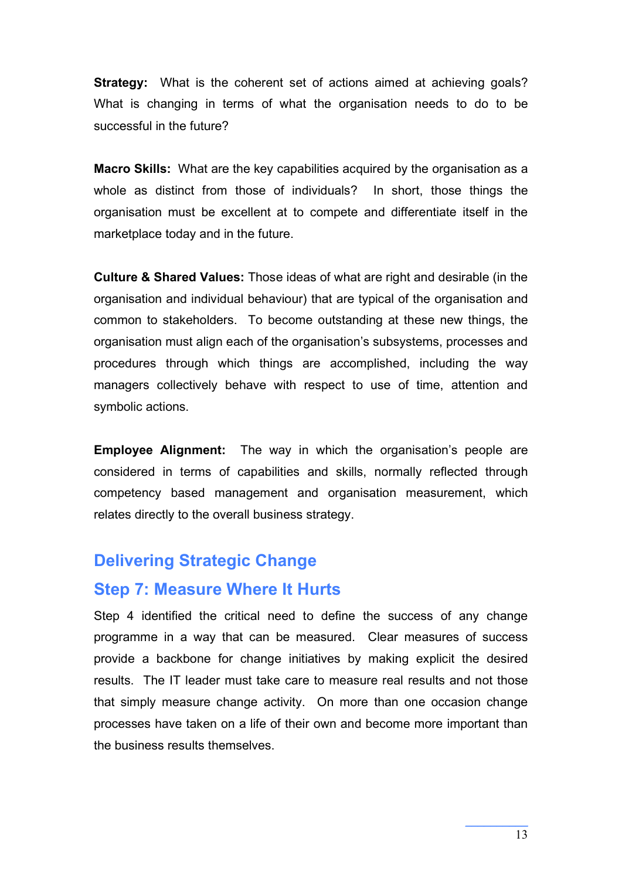**Strategy:** What is the coherent set of actions aimed at achieving goals? What is changing in terms of what the organisation needs to do to be successful in the future?

**Macro Skills:** What are the key capabilities acquired by the organisation as a whole as distinct from those of individuals? In short, those things the organisation must be excellent at to compete and differentiate itself in the marketplace today and in the future.

**Culture & Shared Values:** Those ideas of what are right and desirable (in the organisation and individual behaviour) that are typical of the organisation and common to stakeholders. To become outstanding at these new things, the organisation must align each of the organisation's subsystems, processes and procedures through which things are accomplished, including the way managers collectively behave with respect to use of time, attention and symbolic actions.

**Employee Alignment:** The way in which the organisation's people are considered in terms of capabilities and skills, normally reflected through competency based management and organisation measurement, which relates directly to the overall business strategy.

#### **Delivering Strategic Change**

#### **Step 7: Measure Where It Hurts**

Step 4 identified the critical need to define the success of any change programme in a way that can be measured. Clear measures of success provide a backbone for change initiatives by making explicit the desired results. The IT leader must take care to measure real results and not those that simply measure change activity. On more than one occasion change processes have taken on a life of their own and become more important than the business results themselves.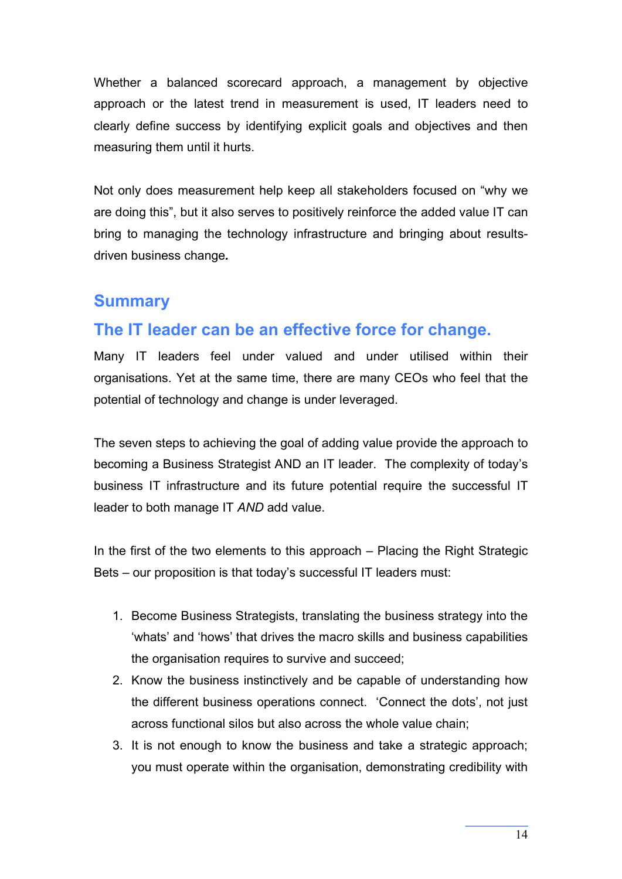Whether a balanced scorecard approach, a management by objective approach or the latest trend in measurement is used, IT leaders need to clearly define success by identifying explicit goals and objectives and then measuring them until it hurts.

Not only does measurement help keep all stakeholders focused on "why we are doing this", but it also serves to positively reinforce the added value IT can bring to managing the technology infrastructure and bringing about resultsdriven business change*.*

#### **Summary**

# **The IT leader can be an effective force for change.**

Many IT leaders feel under valued and under utilised within their organisations. Yet at the same time, there are many CEOs who feel that the potential of technology and change is under leveraged.

The seven steps to achieving the goal of adding value provide the approach to becoming a Business Strategist AND an IT leader. The complexity of today's business IT infrastructure and its future potential require the successful IT leader to both manage IT *AND* add value.

In the first of the two elements to this approach – Placing the Right Strategic Bets – our proposition is that today's successful IT leaders must:

- 1. Become Business Strategists, translating the business strategy into the 'whats' and 'hows' that drives the macro skills and business capabilities the organisation requires to survive and succeed;
- 2. Know the business instinctively and be capable of understanding how the different business operations connect. 'Connect the dots', not just across functional silos but also across the whole value chain;
- 3. It is not enough to know the business and take a strategic approach; you must operate within the organisation, demonstrating credibility with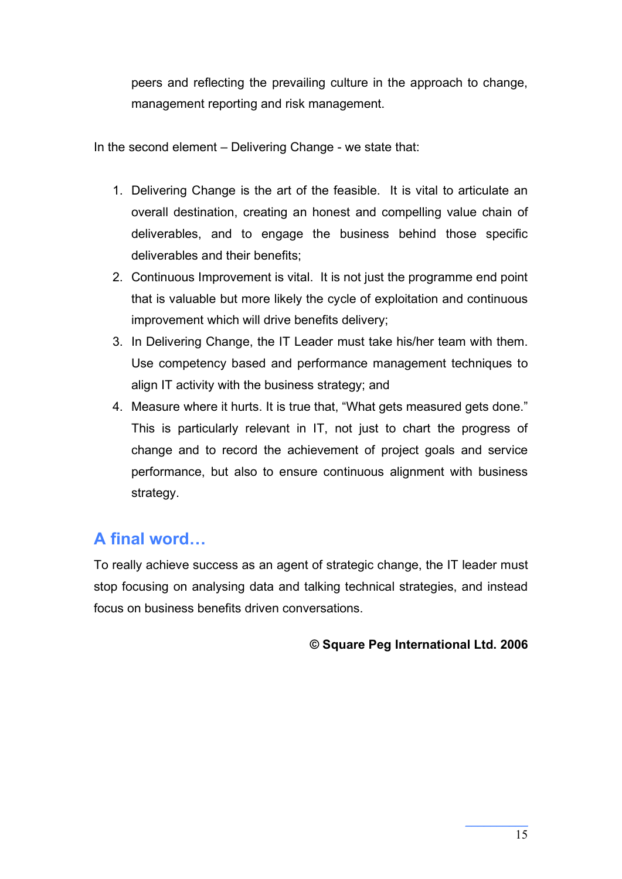peers and reflecting the prevailing culture in the approach to change, management reporting and risk management.

In the second element – Delivering Change - we state that:

- 1. Delivering Change is the art of the feasible. It is vital to articulate an overall destination, creating an honest and compelling value chain of deliverables, and to engage the business behind those specific deliverables and their benefits;
- 2. Continuous Improvement is vital. It is not just the programme end point that is valuable but more likely the cycle of exploitation and continuous improvement which will drive benefits delivery;
- 3. In Delivering Change, the IT Leader must take his/her team with them. Use competency based and performance management techniques to align IT activity with the business strategy; and
- 4. Measure where it hurts. It is true that, "What gets measured gets done." This is particularly relevant in IT, not just to chart the progress of change and to record the achievement of project goals and service performance, but also to ensure continuous alignment with business strategy.

# **A final word…**

To really achieve success as an agent of strategic change, the IT leader must stop focusing on analysing data and talking technical strategies, and instead focus on business benefits driven conversations.

#### **© Square Peg International Ltd. 2006**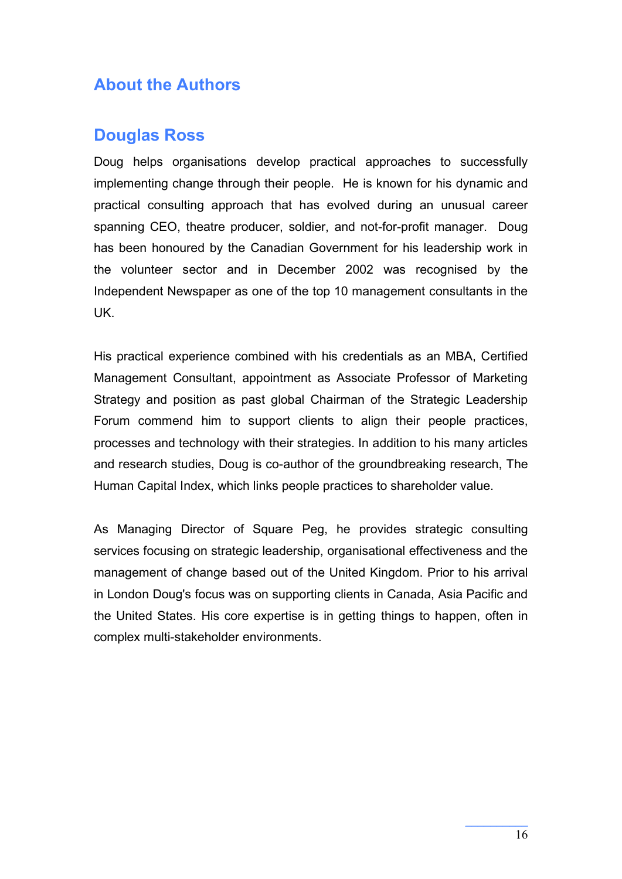# **About the Authors**

#### **Douglas Ross**

Doug helps organisations develop practical approaches to successfully implementing change through their people. He is known for his dynamic and practical consulting approach that has evolved during an unusual career spanning CEO, theatre producer, soldier, and not-for-profit manager. Doug has been honoured by the Canadian Government for his leadership work in the volunteer sector and in December 2002 was recognised by the Independent Newspaper as one of the top 10 management consultants in the UK.

His practical experience combined with his credentials as an MBA, Certified Management Consultant, appointment as Associate Professor of Marketing Strategy and position as past global Chairman of the Strategic Leadership Forum commend him to support clients to align their people practices, processes and technology with their strategies. In addition to his many articles and research studies, Doug is co-author of the groundbreaking research, The Human Capital Index, which links people practices to shareholder value.

As Managing Director of Square Peg, he provides strategic consulting services focusing on strategic leadership, organisational effectiveness and the management of change based out of the United Kingdom. Prior to his arrival in London Doug's focus was on supporting clients in Canada, Asia Pacific and the United States. His core expertise is in getting things to happen, often in complex multi-stakeholder environments.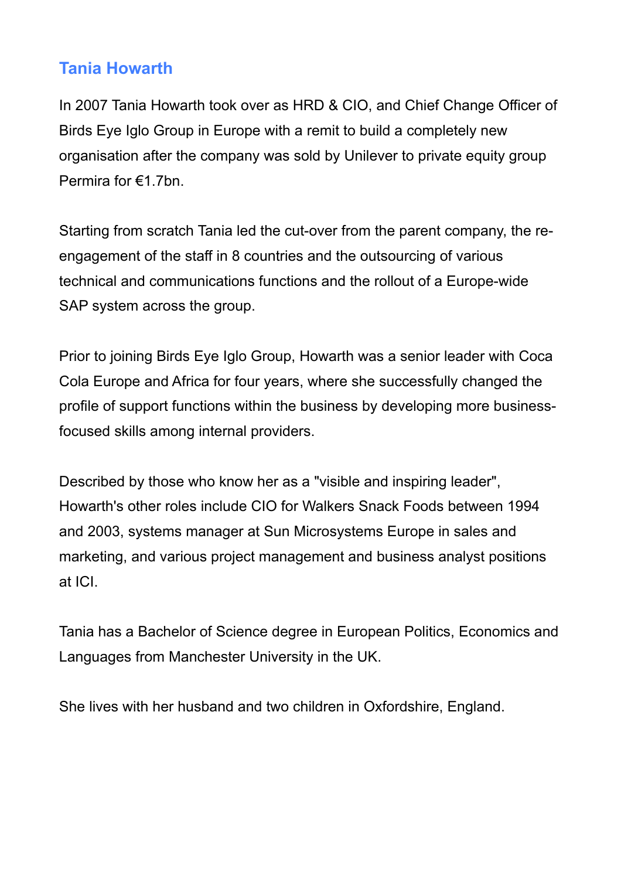# **Tania Howarth**

In 2007 Tania Howarth took over as HRD & CIO, and Chief Change Officer of Birds Eye Iglo Group in Europe with a remit to build a completely new organisation after the company was sold by Unilever to private equity group Permira for €1.7bn.

Starting from scratch Tania led the cut-over from the parent company, the reengagement of the staff in 8 countries and the outsourcing of various technical and communications functions and the rollout of a Europe-wide SAP system across the group.

Prior to joining Birds Eye Iglo Group, Howarth was a senior leader with Coca Cola Europe and Africa for four years, where she successfully changed the profile of support functions within the business by developing more businessfocused skills among internal providers.

Described by those who know her as a "visible and inspiring leader", Howarth's other roles include CIO for Walkers Snack Foods between 1994 and 2003, systems manager at Sun Microsystems Europe in sales and marketing, and various project management and business analyst positions at ICI.

Tania has a Bachelor of Science degree in European Politics, Economics and Languages from Manchester University in the UK.

She lives with her husband and two children in Oxfordshire, England.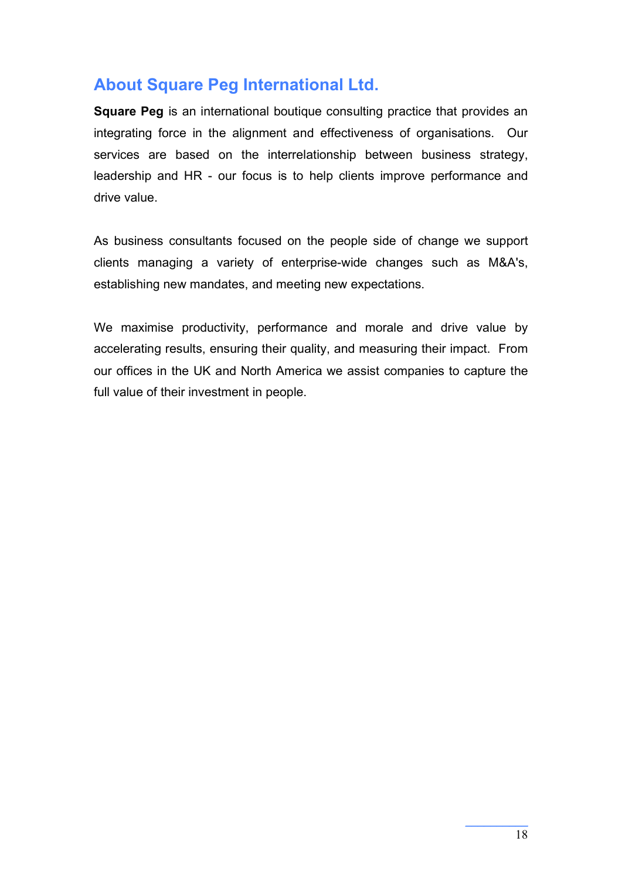# **About Square Peg International Ltd.**

**Square Peg** is an international boutique consulting practice that provides an integrating force in the alignment and effectiveness of organisations. Our services are based on the interrelationship between business strategy, leadership and HR - our focus is to help clients improve performance and drive value.

As business consultants focused on the people side of change we support clients managing a variety of enterprise-wide changes such as M&A's, establishing new mandates, and meeting new expectations.

We maximise productivity, performance and morale and drive value by accelerating results, ensuring their quality, and measuring their impact. From our offices in the UK and North America we assist companies to capture the full value of their investment in people.